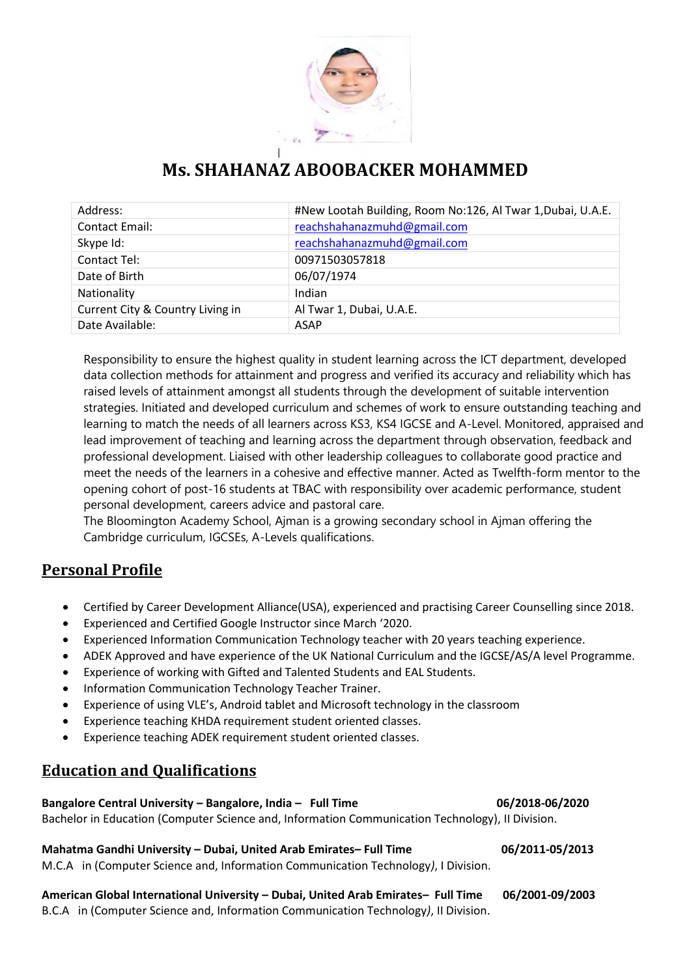

# **Ms. SHAHANAZ ABOOBACKER MOHAMMED**

| Address:                         | #New Lootah Building, Room No:126, Al Twar 1, Dubai, U.A.E. |
|----------------------------------|-------------------------------------------------------------|
| <b>Contact Email:</b>            | reachshahanazmuhd@gmail.com                                 |
| Skype Id:                        | reachshahanazmuhd@gmail.com                                 |
| Contact Tel:                     | 00971503057818                                              |
| Date of Birth                    | 06/07/1974                                                  |
| Nationality                      | Indian                                                      |
| Current City & Country Living in | Al Twar 1, Dubai, U.A.E.                                    |
| Date Available:                  | ASAP                                                        |

Responsibility to ensure the highest quality in student learning across the ICT department, developed data collection methods for attainment and progress and verified its accuracy and reliability which has raised levels of attainment amongst all students through the development of suitable intervention strategies. Initiated and developed curriculum and schemes of work to ensure outstanding teaching and learning to match the needs of all learners across KS3, KS4 IGCSE and A-Level. Monitored, appraised and lead improvement of teaching and learning across the department through observation, feedback and professional development. Liaised with other leadership colleagues to collaborate good practice and meet the needs of the learners in a cohesive and effective manner. Acted as Twelfth-form mentor to the opening cohort of post-16 students at TBAC with responsibility over academic performance, student personal development, careers advice and pastoral care.

The Bloomington Academy School, Ajman is a growing secondary school in Ajman offering the Cambridge curriculum, IGCSEs, A-Levels qualifications.

# **Personal Profile**

- Certified by Career Development Alliance(USA), experienced and practising Career Counselling since 2018.
- Experienced and Certified Google Instructor since March '2020.
- Experienced Information Communication Technology teacher with 20 years teaching experience.
- ADEK Approved and have experience of the UK National Curriculum and the IGCSE/AS/A level Programme.
- Experience of working with Gifted and Talented Students and EAL Students.
- Information Communication Technology Teacher Trainer.
- Experience of using VLE's, Android tablet and Microsoft technology in the classroom
- Experience teaching KHDA requirement student oriented classes.
- Experience teaching ADEK requirement student oriented classes.

# **Education and Qualifications**

# **Bangalore Central University – Bangalore, India – Full Time 06/2018-06/2020** Bachelor in Education (Computer Science and, Information Communication Technology), II Division.

## **Mahatma Gandhi University – Dubai, United Arab Emirates– Full Time 06/2011-05/2013** M.C.A in (Computer Science and, Information Communication Technology*)*, I Division.

**American Global International University – Dubai, United Arab Emirates– Full Time 06/2001-09/2003**

B.C.A in (Computer Science and, Information Communication Technology*)*, II Division.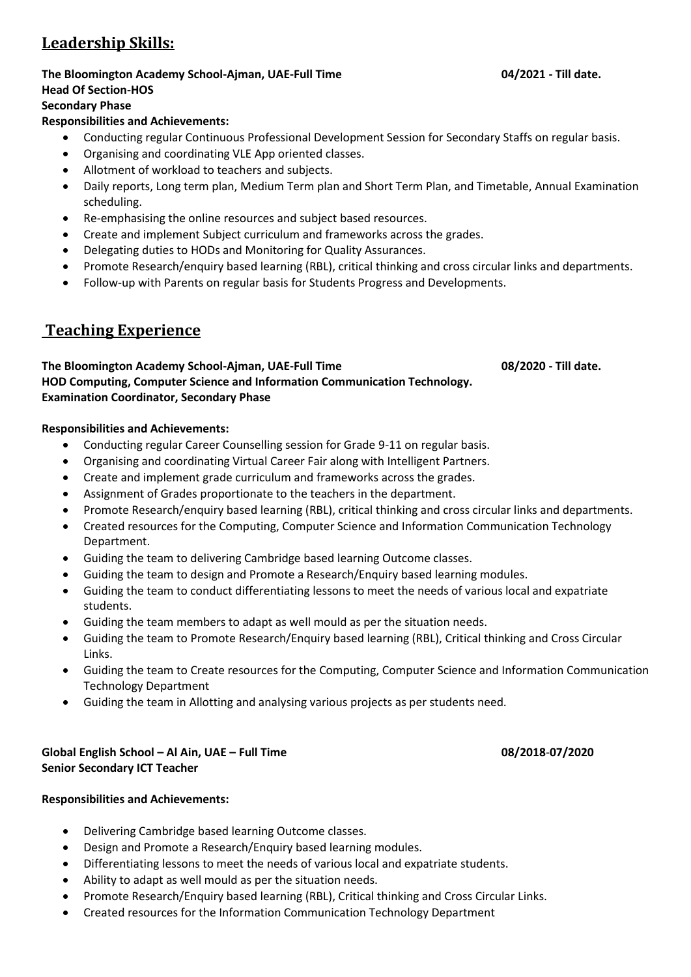# **Leadership Skills:**

### **The Bloomington Academy School-Ajman, UAE-Full Time 04/2021 - Till date. Head Of Section-HOS**

# **Secondary Phase**

# **Responsibilities and Achievements:**

- Conducting regular Continuous Professional Development Session for Secondary Staffs on regular basis.
- Organising and coordinating VLE App oriented classes.
- Allotment of workload to teachers and subjects.
- Daily reports, Long term plan, Medium Term plan and Short Term Plan, and Timetable, Annual Examination scheduling.
- Re-emphasising the online resources and subject based resources.
- Create and implement Subject curriculum and frameworks across the grades.
- Delegating duties to HODs and Monitoring for Quality Assurances.
- Promote Research/enquiry based learning (RBL), critical thinking and cross circular links and departments.
- Follow-up with Parents on regular basis for Students Progress and Developments.

# **Teaching Experience**

## **The Bloomington Academy School-Ajman, UAE-Full Time 08/2020 - Till date. HOD Computing, Computer Science and Information Communication Technology. Examination Coordinator, Secondary Phase**

**Responsibilities and Achievements:**

- Conducting regular Career Counselling session for Grade 9-11 on regular basis.
- Organising and coordinating Virtual Career Fair along with Intelligent Partners.
- Create and implement grade curriculum and frameworks across the grades.
- Assignment of Grades proportionate to the teachers in the department.
- Promote Research/enquiry based learning (RBL), critical thinking and cross circular links and departments.
- Created resources for the Computing, Computer Science and Information Communication Technology Department.
- Guiding the team to delivering Cambridge based learning Outcome classes.
- Guiding the team to design and Promote a Research/Enquiry based learning modules.
- Guiding the team to conduct differentiating lessons to meet the needs of various local and expatriate students.
- Guiding the team members to adapt as well mould as per the situation needs.
- Guiding the team to Promote Research/Enquiry based learning (RBL), Critical thinking and Cross Circular Links.
- Guiding the team to Create resources for the Computing, Computer Science and Information Communication Technology Department
- Guiding the team in Allotting and analysing various projects as per students need.

# **Global English School – Al Ain, UAE – Full Time 08/2018**-**07/2020 Senior Secondary ICT Teacher**

## **Responsibilities and Achievements:**

- Delivering Cambridge based learning Outcome classes.
- Design and Promote a Research/Enquiry based learning modules.
- Differentiating lessons to meet the needs of various local and expatriate students.
- Ability to adapt as well mould as per the situation needs.
- Promote Research/Enquiry based learning (RBL), Critical thinking and Cross Circular Links.
- Created resources for the Information Communication Technology Department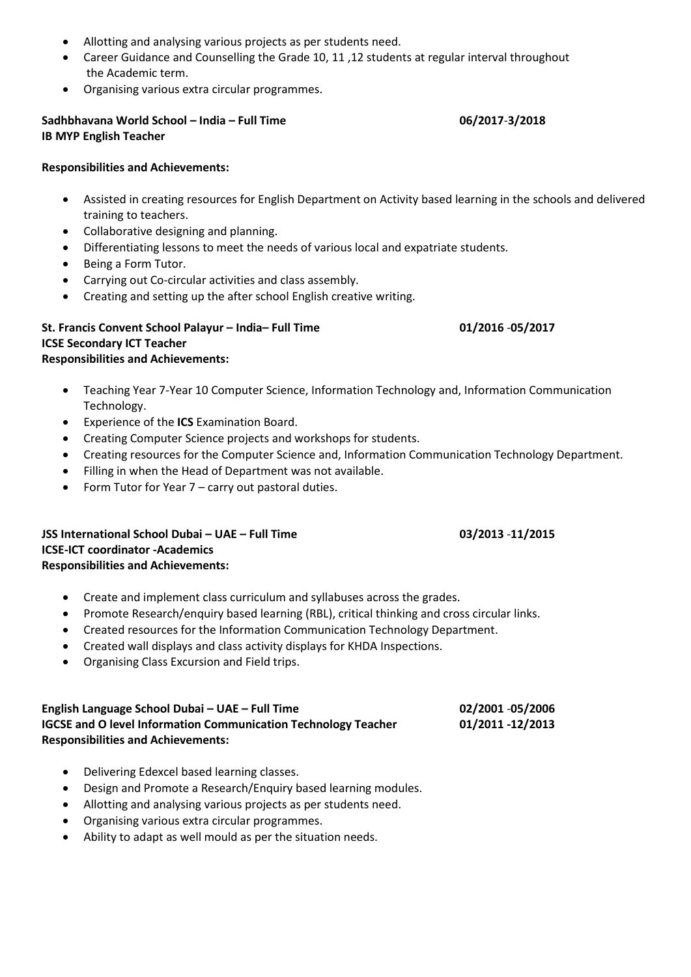- Allotting and analysing various projects as per students need.
- Career Guidance and Counselling the Grade 10, 11 ,12 students at regular interval throughout the Academic term.
- Organising various extra circular programmes.

## **Sadhbhavana World School – India – Full Time 06/2017**-**3/2018 IB MYP English Teacher**

# **Responsibilities and Achievements:**

- Assisted in creating resources for English Department on Activity based learning in the schools and delivered training to teachers.
- Collaborative designing and planning.
- Differentiating lessons to meet the needs of various local and expatriate students.
- Being a Form Tutor.
- Carrying out Co-circular activities and class assembly.
- Creating and setting up the after school English creative writing.

## **St. Francis Convent School Palayur – India– Full Time 01/2016** -**05/2017 ICSE Secondary ICT Teacher Responsibilities and Achievements:**

- Teaching Year 7-Year 10 Computer Science, Information Technology and, Information Communication Technology.
- Experience of the **ICS** Examination Board.
- Creating Computer Science projects and workshops for students.
- Creating resources for the Computer Science and, Information Communication Technology Department.
- Filling in when the Head of Department was not available.
- Form Tutor for Year 7 carry out pastoral duties.

## **JSS International School Dubai – UAE – Full Time 03/2013** -**11/2015 ICSE-ICT coordinator -Academics Responsibilities and Achievements:**

- Create and implement class curriculum and syllabuses across the grades.
- Promote Research/enquiry based learning (RBL), critical thinking and cross circular links.
- Created resources for the Information Communication Technology Department.
- Created wall displays and class activity displays for KHDA Inspections.
- Organising Class Excursion and Field trips.

### **English Language School Dubai – UAE – Full Time 02/2001** -**05/2006 IGCSE and O level Information Communication Technology Teacher 01/2011 -12/2013 Responsibilities and Achievements:**

- Delivering Edexcel based learning classes.
- Design and Promote a Research/Enquiry based learning modules.
- Allotting and analysing various projects as per students need.
- Organising various extra circular programmes.
- Ability to adapt as well mould as per the situation needs.